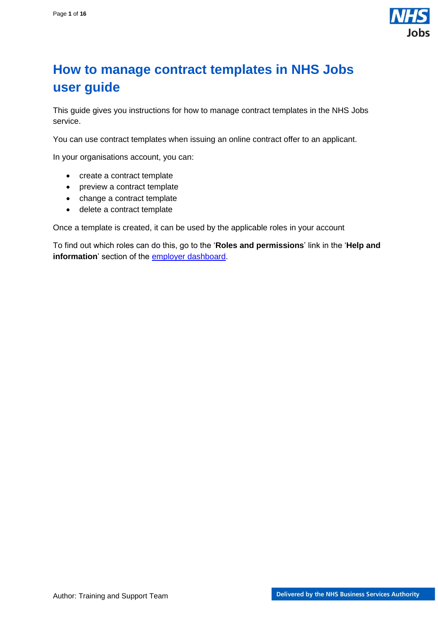

## <span id="page-0-0"></span>**How to manage contract templates in NHS Jobs user guide**

This guide gives you instructions for how to manage contract templates in the NHS Jobs service.

You can use contract templates when issuing an online contract offer to an applicant.

In your organisations account, you can:

- create a contract template
- preview a contract template
- change a contract template
- delete a contract template

Once a template is created, it can be used by the applicable roles in your account

To find out which roles can do this, go to the '**Roles and permissions**' link in the '**Help and information**' section of the [employer dashboard.](https://beta.jobs.nhs.uk/home)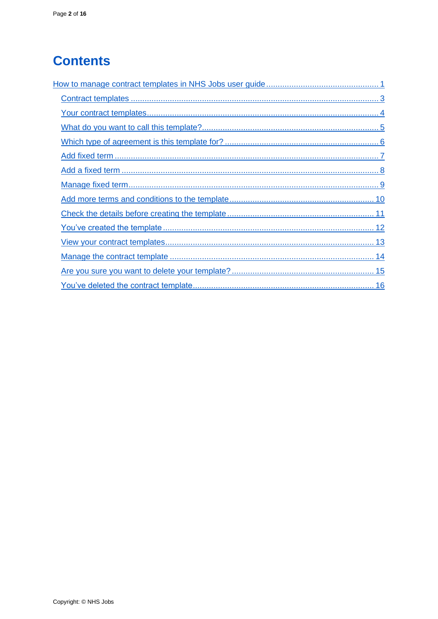# **Contents**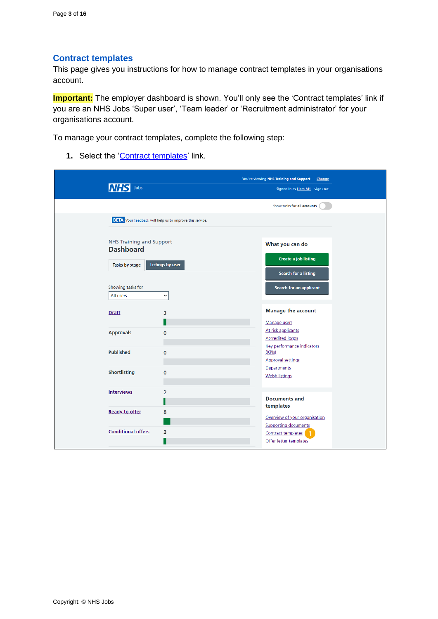#### <span id="page-2-0"></span>**Contract templates**

This page gives you instructions for how to manage contract templates in your organisations account.

**Important:** The employer dashboard is shown. You'll only see the 'Contract templates' link if you are an NHS Jobs 'Super user', 'Team leader' or 'Recruitment administrator' for your organisations account.

To manage your contract templates, complete the following step:

1. Select the ['Contract templates'](#page-3-0) link.

|                                 |                                                                 | You're viewing NHS Training and Support<br>Change            |
|---------------------------------|-----------------------------------------------------------------|--------------------------------------------------------------|
| Jobs                            |                                                                 | Signed in as Liam M1 Sign Out                                |
|                                 |                                                                 | Show tasks for all accounts                                  |
|                                 | <b>BETA</b> Your feedback will help us to improve this service. |                                                              |
| <b>NHS Training and Support</b> |                                                                 |                                                              |
| <b>Dashboard</b>                |                                                                 | What you can do                                              |
| Tasks by stage                  | <b>Listings by user</b>                                         | <b>Create a job listing</b>                                  |
|                                 |                                                                 | Search for a listing                                         |
| Showing tasks for               |                                                                 | Search for an applicant                                      |
| All users                       | $\check{~}$                                                     |                                                              |
| <b>Draft</b>                    | 3                                                               | <b>Manage the account</b>                                    |
|                                 |                                                                 | Manage users                                                 |
| <b>Approvals</b>                | $\mathbf 0$                                                     | At risk applicants                                           |
|                                 |                                                                 | <b>Accredited logos</b><br>Key performance indicators        |
| <b>Published</b>                | $\mathbf 0$                                                     | (KPIs)                                                       |
|                                 |                                                                 | <b>Approval settings</b>                                     |
| <b>Shortlisting</b>             | $\mathbf 0$                                                     | Departments<br><b>Welsh listings</b>                         |
|                                 |                                                                 |                                                              |
| <b>Interviews</b>               | $\overline{2}$                                                  |                                                              |
|                                 |                                                                 | <b>Documents and</b><br>templates                            |
| <b>Ready to offer</b>           | 8                                                               |                                                              |
|                                 |                                                                 | Overview of your organisation<br><b>Supporting documents</b> |
| <b>Conditional offers</b>       | 3                                                               | <b>Contract templates</b>                                    |
|                                 |                                                                 | Offer letter templates                                       |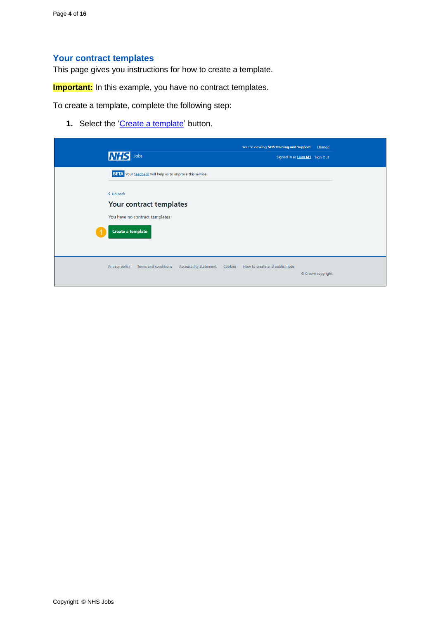## <span id="page-3-0"></span>**Your contract templates**

This page gives you instructions for how to create a template.

**Important:** In this example, you have no contract templates.

To create a template, complete the following step:

1. Select the ['Create a template'](#page-4-0) button.

| <b>NHS</b><br>Jobs                                              |                                           | You're viewing NHS Training and Support<br>Signed in as Liam M1 Sign Out | Change            |
|-----------------------------------------------------------------|-------------------------------------------|--------------------------------------------------------------------------|-------------------|
| <b>BETA</b> Your feedback will help us to improve this service. |                                           |                                                                          |                   |
| < Go back<br>Your contract templates                            |                                           |                                                                          |                   |
| You have no contract templates<br>Create a template             |                                           |                                                                          |                   |
|                                                                 |                                           |                                                                          |                   |
| <b>Privacy policy</b><br><b>Terms and conditions</b>            | <b>Accessibility Statement</b><br>Cookies | How to create and publish jobs                                           | © Crown copyright |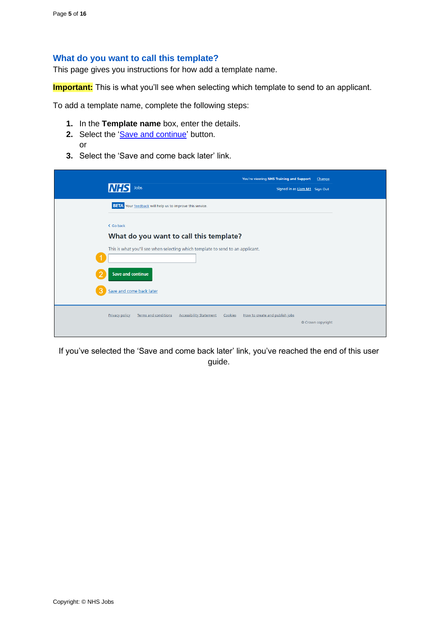#### <span id="page-4-0"></span>**What do you want to call this template?**

This page gives you instructions for how add a template name.

**Important:** This is what you'll see when selecting which template to send to an applicant.

To add a template name, complete the following steps:

- **1.** In the **Template name** box, enter the details.
- 2. Select the ['Save and continue'](#page-5-0) button. or
- **3.** Select the 'Save and come back later' link.

| INH                   | Jobs                                                                                                                      | You're viewing NHS Training and Support   | Signed in as Liam M1 Sign Out | Change |
|-----------------------|---------------------------------------------------------------------------------------------------------------------------|-------------------------------------------|-------------------------------|--------|
|                       | <b>BETA</b> Your feedback will help us to improve this service.                                                           |                                           |                               |        |
| < Go back             | What do you want to call this template?<br>This is what you'll see when selecting which template to send to an applicant. |                                           |                               |        |
| 3                     | <b>Save and continue</b><br>Save and come back later                                                                      |                                           |                               |        |
| <b>Privacy policy</b> | <b>Terms and conditions</b><br><b>Accessibility Statement</b>                                                             | Cookies<br>How to create and publish jobs | © Crown copyright             |        |

If you've selected the 'Save and come back later' link, you've reached the end of this user guide.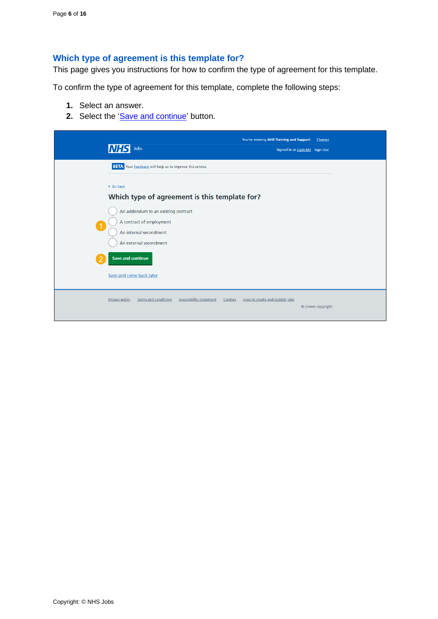## <span id="page-5-0"></span>**Which type of agreement is this template for?**

This page gives you instructions for how to confirm the type of agreement for this template.

To confirm the type of agreement for this template, complete the following steps:

- **1.** Select an answer.
- 2. Select the ['Save and continue'](#page-6-0) button.

| Jobs                                                                              |                                                                                      | You're viewing NHS Training and Support   | Change<br>Signed in as Liam M1 Sign Out |
|-----------------------------------------------------------------------------------|--------------------------------------------------------------------------------------|-------------------------------------------|-----------------------------------------|
| < Go back                                                                         | <b>BETA</b> Your feedback will help us to improve this service.                      |                                           |                                         |
| A contract of employment<br>$\blacktriangleleft$                                  | Which type of agreement is this template for?<br>An addendum to an existing contract |                                           |                                         |
| An internal secondment<br>An external secondment<br><b>Save and continue</b><br>ာ |                                                                                      |                                           |                                         |
| Save and come back later                                                          |                                                                                      |                                           |                                         |
| <b>Privacy policy</b>                                                             | <b>Terms and conditions</b><br><b>Accessibility Statement</b>                        | Cookies<br>How to create and publish jobs | © Crown copyright                       |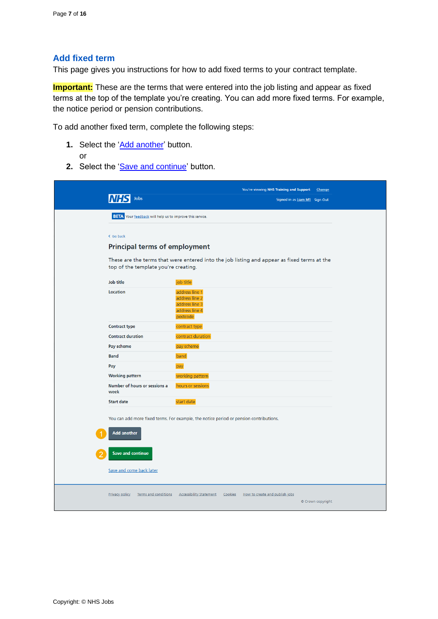### <span id="page-6-0"></span>**Add fixed term**

This page gives you instructions for how to add fixed terms to your contract template.

**Important:** These are the terms that were entered into the job listing and appear as fixed terms at the top of the template you're creating. You can add more fixed terms. For example, the notice period or pension contributions.

To add another fixed term, complete the following steps:

- **1.** Select the ['Add another'](#page-7-0) button. or
- 2. Select the ['Save and continue'](#page-9-0) button.

| Jobs                                                                                      | You're viewing NHS Training and Support<br>Change<br>Signed in as Liam M1 Sign Out               |
|-------------------------------------------------------------------------------------------|--------------------------------------------------------------------------------------------------|
| <b>BETA</b> Your feedback will help us to improve this service.                           |                                                                                                  |
| < Go back<br><b>Principal terms of employment</b><br>top of the template you're creating. | These are the terms that were entered into the job listing and appear as fixed terms at the      |
| Job title                                                                                 | job title                                                                                        |
| Location                                                                                  | address line 1<br>address line 2<br>address line 3<br>address line 4<br>postcode                 |
| <b>Contract type</b>                                                                      | contract type                                                                                    |
| <b>Contract duration</b>                                                                  | contract duration                                                                                |
| Pay scheme                                                                                | pay scheme                                                                                       |
| <b>Band</b>                                                                               | band                                                                                             |
| Pay                                                                                       | pay                                                                                              |
| <b>Working pattern</b>                                                                    | working pattern                                                                                  |
| Number of hours or sessions a<br>week                                                     | hours or sessions                                                                                |
| <b>Start date</b>                                                                         | start date                                                                                       |
| <b>Add another</b>                                                                        | You can add more fixed terms. For example, the notice period or pension contributions.           |
| Save and continue<br>Save and come back later                                             |                                                                                                  |
| Privacy policy<br><b>Terms and conditions</b>                                             | <b>Accessibility Statement</b><br>Cookies<br>How to create and publish jobs<br>© Crown copyright |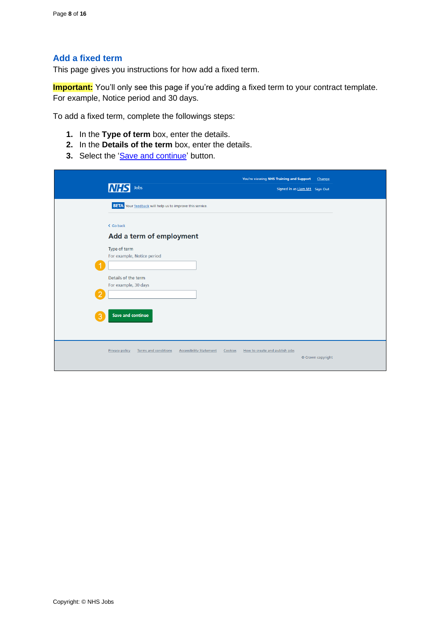## <span id="page-7-0"></span>**Add a fixed term**

This page gives you instructions for how add a fixed term.

**Important:** You'll only see this page if you're adding a fixed term to your contract template. For example, Notice period and 30 days.

To add a fixed term, complete the followings steps:

- **1.** In the **Type of term** box, enter the details.
- **2.** In the **Details of the term** box, enter the details.
- **3.** Select the ['Save and continue'](#page-8-0) button.

| <b>INH</b>    | Jobs                                                                                   | You're viewing NHS Training and Support   | Change<br>Signed in as Liam M1 Sign Out |
|---------------|----------------------------------------------------------------------------------------|-------------------------------------------|-----------------------------------------|
|               | <b>BETA</b> Your feedback will help us to improve this service.                        |                                           |                                         |
| < Go back     | Add a term of employment                                                               |                                           |                                         |
|               | Type of term<br>For example, Notice period                                             |                                           |                                         |
| $\mathcal{P}$ | Details of the term<br>For example, 30 days                                            |                                           |                                         |
| 3             | <b>Save and continue</b>                                                               |                                           |                                         |
|               | <b>Privacy policy</b><br><b>Terms and conditions</b><br><b>Accessibility Statement</b> | How to create and publish jobs<br>Cookies | © Crown copyright                       |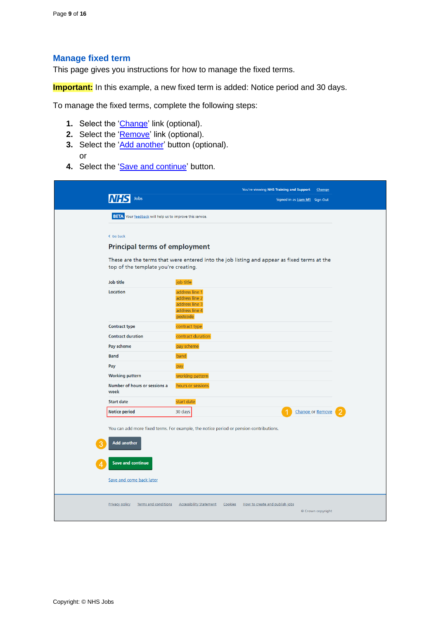#### <span id="page-8-0"></span>**Manage fixed term**

This page gives you instructions for how to manage the fixed terms.

**Important:** In this example, a new fixed term is added: Notice period and 30 days.

To manage the fixed terms, complete the following steps:

- **1.** Select the ['Change'](#page-7-0) link (optional).
- **2.** Select the '**Remove'** link (optional).
- **3.** Select the ['Add another'](#page-7-0) button (optional). or
- 4. Select the ['Save and continue'](#page-9-0) button.

|                                                                 | You're viewing NHS Training and Support                                                     | Change            |  |
|-----------------------------------------------------------------|---------------------------------------------------------------------------------------------|-------------------|--|
| Jobs                                                            | Signed in as Liam M1 Sign Out                                                               |                   |  |
| <b>BETA</b> Your feedback will help us to improve this service. |                                                                                             |                   |  |
| < Go back                                                       |                                                                                             |                   |  |
| <b>Principal terms of employment</b>                            |                                                                                             |                   |  |
| top of the template you're creating.                            | These are the terms that were entered into the job listing and appear as fixed terms at the |                   |  |
| Job title                                                       | job title                                                                                   |                   |  |
| Location                                                        | address line 1<br>address line 2<br>address line 3<br>address line 4<br>postcode            |                   |  |
| <b>Contract type</b>                                            | contract type                                                                               |                   |  |
| <b>Contract duration</b>                                        | contract duration                                                                           |                   |  |
| Pay scheme                                                      | pay scheme                                                                                  |                   |  |
| <b>Band</b>                                                     | band                                                                                        |                   |  |
| Pay                                                             | pay                                                                                         |                   |  |
| <b>Working pattern</b>                                          | working pattern                                                                             |                   |  |
| Number of hours or sessions a<br>week                           | hours or sessions                                                                           |                   |  |
| <b>Start date</b>                                               | start date                                                                                  |                   |  |
| <b>Notice period</b>                                            | 30 days                                                                                     | Change or Remove  |  |
| <b>Add another</b>                                              | You can add more fixed terms. For example, the notice period or pension contributions.      |                   |  |
| <b>Save and continue</b><br>Save and come back later            |                                                                                             |                   |  |
| <b>Privacy policy</b><br>Terms and conditions                   | <b>Accessibility Statement</b><br>Cookies<br>How to create and publish jobs                 | © Crown copyright |  |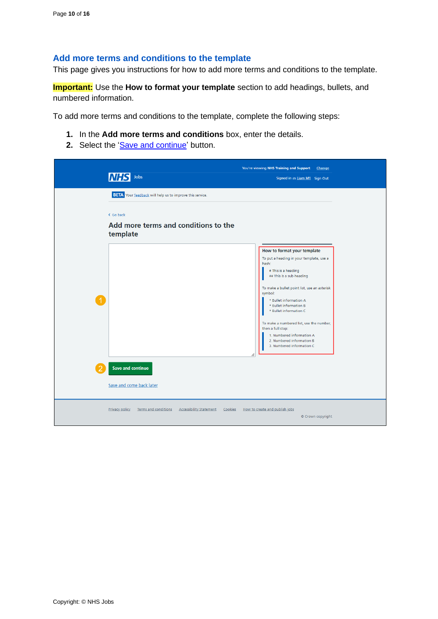#### <span id="page-9-0"></span>**Add more terms and conditions to the template**

This page gives you instructions for how to add more terms and conditions to the template.

**Important:** Use the **How to format your template** section to add headings, bullets, and numbered information.

To add more terms and conditions to the template, complete the following steps:

- **1.** In the **Add more terms and conditions** box, enter the details.
- 2. Select the ['Save and continue'](#page-10-0) button.

| Jobs<br>INF<br>Signed in as Liam M1 Sign Out<br><b>BETA</b> Your feedback will help us to improve this service.<br>< Go back<br>Add more terms and conditions to the<br>template<br>How to format your template<br>To put a heading in your template, use a<br>hash:<br># This is a heading<br>## This is a sub-heading<br>To make a bullet point list, use an asterisk<br>symbol:<br>* Bullet information A<br>* Bullet information B<br>* Bullet information C<br>To make a numbered list, use the number,<br>then a full stop:<br>1. Numbered information A<br>2. Numbered information B<br>3. Numbered information C<br>h<br><b>Save and continue</b><br>Save and come back later<br><b>Privacy policy</b><br>Terms and conditions<br><b>Accessibility Statement</b><br>Cookies<br>How to create and publish jobs | You're viewing NHS Training and Support<br>Change |
|-----------------------------------------------------------------------------------------------------------------------------------------------------------------------------------------------------------------------------------------------------------------------------------------------------------------------------------------------------------------------------------------------------------------------------------------------------------------------------------------------------------------------------------------------------------------------------------------------------------------------------------------------------------------------------------------------------------------------------------------------------------------------------------------------------------------------|---------------------------------------------------|
|                                                                                                                                                                                                                                                                                                                                                                                                                                                                                                                                                                                                                                                                                                                                                                                                                       |                                                   |
|                                                                                                                                                                                                                                                                                                                                                                                                                                                                                                                                                                                                                                                                                                                                                                                                                       |                                                   |
|                                                                                                                                                                                                                                                                                                                                                                                                                                                                                                                                                                                                                                                                                                                                                                                                                       |                                                   |
|                                                                                                                                                                                                                                                                                                                                                                                                                                                                                                                                                                                                                                                                                                                                                                                                                       |                                                   |
|                                                                                                                                                                                                                                                                                                                                                                                                                                                                                                                                                                                                                                                                                                                                                                                                                       |                                                   |
|                                                                                                                                                                                                                                                                                                                                                                                                                                                                                                                                                                                                                                                                                                                                                                                                                       |                                                   |
|                                                                                                                                                                                                                                                                                                                                                                                                                                                                                                                                                                                                                                                                                                                                                                                                                       |                                                   |
|                                                                                                                                                                                                                                                                                                                                                                                                                                                                                                                                                                                                                                                                                                                                                                                                                       |                                                   |
|                                                                                                                                                                                                                                                                                                                                                                                                                                                                                                                                                                                                                                                                                                                                                                                                                       |                                                   |
|                                                                                                                                                                                                                                                                                                                                                                                                                                                                                                                                                                                                                                                                                                                                                                                                                       |                                                   |
|                                                                                                                                                                                                                                                                                                                                                                                                                                                                                                                                                                                                                                                                                                                                                                                                                       |                                                   |
|                                                                                                                                                                                                                                                                                                                                                                                                                                                                                                                                                                                                                                                                                                                                                                                                                       |                                                   |
|                                                                                                                                                                                                                                                                                                                                                                                                                                                                                                                                                                                                                                                                                                                                                                                                                       | © Crown copyright                                 |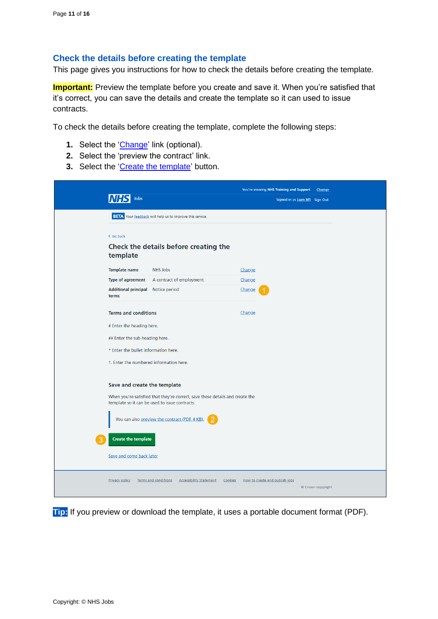#### <span id="page-10-0"></span>**Check the details before creating the template**

This page gives you instructions for how to check the details before creating the template.

**Important:** Preview the template before you create and save it. When you're satisfied that it's correct, you can save the details and create the template so it can used to issue contracts.

To check the details before creating the template, complete the following steps:

- **1.** Select the ['Change'](#page-4-0) link (optional).
- **2.** Select the 'preview the contract' link.
- **3.** Select the ['Create the template'](#page-11-0) button.

|                                         |                                                                                                                                 | You're viewing NHS Training and Support | Change                        |
|-----------------------------------------|---------------------------------------------------------------------------------------------------------------------------------|-----------------------------------------|-------------------------------|
| Jobs                                    |                                                                                                                                 |                                         | Signed in as Liam M1 Sign Out |
|                                         | <b>BETA</b> Your feedback will help us to improve this service.                                                                 |                                         |                               |
| < Go back                               |                                                                                                                                 |                                         |                               |
| template                                | Check the details before creating the                                                                                           |                                         |                               |
| <b>Template name</b>                    | <b>NHS Jobs</b>                                                                                                                 | Change                                  |                               |
| Type of agreement                       | A contract of employment                                                                                                        | Change                                  |                               |
| <b>Additional principal</b><br>terms    | Notice period                                                                                                                   | Change                                  |                               |
| <b>Terms and conditions</b>             |                                                                                                                                 | Change                                  |                               |
| # Enter the heading here.               |                                                                                                                                 |                                         |                               |
| ## Enter the sub-heading here.          |                                                                                                                                 |                                         |                               |
| * Enter the bullet information here.    |                                                                                                                                 |                                         |                               |
| 1. Enter the numbered information here. |                                                                                                                                 |                                         |                               |
| Save and create the template            | When you're satisfied that they're correct, save these details and create the<br>template so it can be used to issue contracts. |                                         |                               |
|                                         | You can also preview the contract (PDF, 4 KB).                                                                                  |                                         |                               |
| <b>Create the template</b>              |                                                                                                                                 |                                         |                               |
| Save and come back later                |                                                                                                                                 |                                         |                               |
| <b>Privacy policy</b>                   | <b>Terms and conditions</b><br><b>Accessibility Statement</b><br>Cookies                                                        | How to create and publish jobs          | © Crown copyright             |

**Tip:** If you preview or download the template, it uses a portable document format (PDF).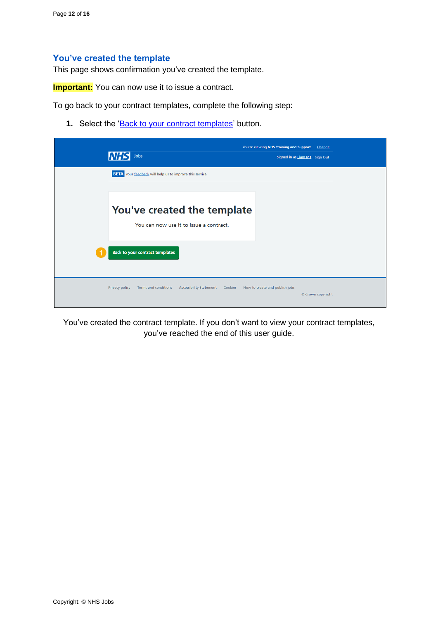#### <span id="page-11-0"></span>**You've created the template**

This page shows confirmation you've created the template.

**Important:** You can now use it to issue a contract.

To go back to your contract templates, complete the following step:

1. Select the ['Back to your contract templates'](#page-12-0) button.

| <b>NHS</b><br>Jobs                                                                                | You're viewing NHS Training and Support<br>Change<br>Signed in as Liam M1 Sign Out |
|---------------------------------------------------------------------------------------------------|------------------------------------------------------------------------------------|
| <b>BETA</b> Your feedback will help us to improve this service.                                   |                                                                                    |
| You've created the template<br>You can now use it to issue a contract.                            |                                                                                    |
| <b>Back to your contract templates</b>                                                            |                                                                                    |
| <b>Terms and conditions</b><br><b>Accessibility Statement</b><br><b>Privacy policy</b><br>Cookies | How to create and publish jobs<br>© Crown copyright                                |

You've created the contract template. If you don't want to view your contract templates, you've reached the end of this user guide.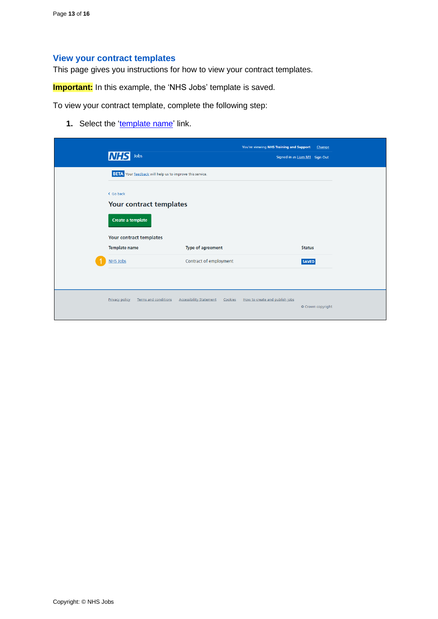## <span id="page-12-0"></span>**View your contract templates**

This page gives you instructions for how to view your contract templates.

**Important:** In this example, the 'NHS Jobs' template is saved.

To view your contract template, complete the following step:

**1.** Select the ['template name'](#page-13-0) link.

| <b>NHS</b><br>Jobs                                              |                                           | You're viewing NHS Training and Support | Change<br>Signed in as Liam M1 Sign Out |  |
|-----------------------------------------------------------------|-------------------------------------------|-----------------------------------------|-----------------------------------------|--|
| <b>BETA</b> Your feedback will help us to improve this service. |                                           |                                         |                                         |  |
| < Go back<br>Your contract templates<br>Create a template       |                                           |                                         |                                         |  |
| Your contract templates<br><b>Template name</b>                 | Type of agreement                         |                                         | <b>Status</b>                           |  |
| <b>NHS Jobs</b>                                                 | Contract of employment                    |                                         | <b>SAVED</b>                            |  |
| <b>Terms and conditions</b><br><b>Privacy policy</b>            | <b>Accessibility Statement</b><br>Cookies | How to create and publish jobs          | © Crown copyright                       |  |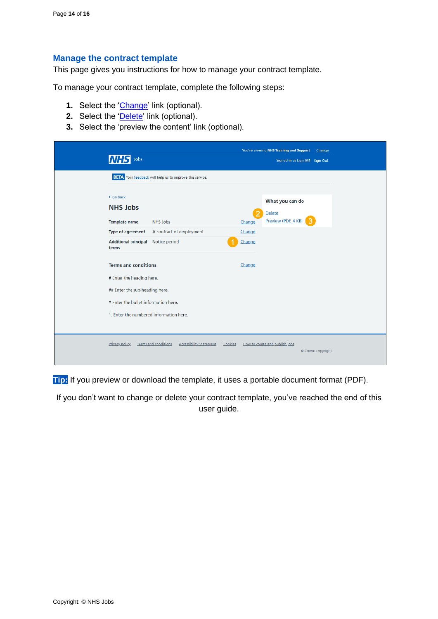#### <span id="page-13-0"></span>**Manage the contract template**

This page gives you instructions for how to manage your contract template.

To manage your contract template, complete the following steps:

- **1.** Select the ['Change'](#page-4-0) link (optional).
- **2.** Select the ['Delete'](#page-14-0) link (optional).
- **3.** Select the 'preview the content' link (optional).

| Jobs                                                                                                                                                                          |                                                                 |                                 | You're viewing NHS Training and Support<br>Change<br>Signed in as Liam M1 Sign Out |  |
|-------------------------------------------------------------------------------------------------------------------------------------------------------------------------------|-----------------------------------------------------------------|---------------------------------|------------------------------------------------------------------------------------|--|
|                                                                                                                                                                               | <b>BETA</b> Your feedback will help us to improve this service. |                                 |                                                                                    |  |
| < Go back<br><b>NHS Jobs</b><br><b>Template name</b><br>Type of agreement<br><b>Additional principal</b><br>terms                                                             | NHS Jobs<br>A contract of employment<br>Notice period           | 2<br>Change<br>Change<br>Change | What you can do<br>Delete<br>Preview (PDF, 4 KB)<br>3                              |  |
| <b>Terms and conditions</b><br># Enter the heading here.<br>## Enter the sub-heading here.<br>* Enter the bullet information here.<br>1. Enter the numbered information here. |                                                                 | Change                          |                                                                                    |  |
| <b>Privacy policy</b>                                                                                                                                                         | <b>Accessibility Statement</b><br><b>Terms and conditions</b>   | Cookies                         | How to create and publish jobs<br>© Crown copyright                                |  |

**Tip:** If you preview or download the template, it uses a portable document format (PDF).

If you don't want to change or delete your contract template, you've reached the end of this user guide.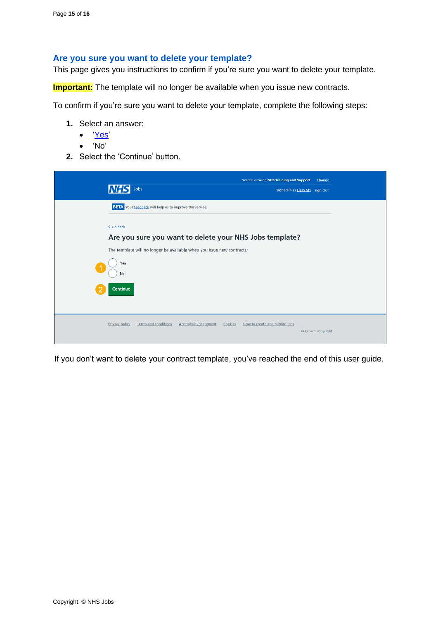#### <span id="page-14-0"></span>**Are you sure you want to delete your template?**

This page gives you instructions to confirm if you're sure you want to delete your template.

**Important:** The template will no longer be available when you issue new contracts.

To confirm if you're sure you want to delete your template, complete the following steps:

- **1.** Select an answer:
	- ['Yes'](#page-15-0)
	- 'No'
- **2.** Select the 'Continue' button.

| Jobs<br>INH                                                                                | You're viewing NHS Training and Support<br>Change<br>Signed in as Liam M1 Sign Out |  |  |  |  |
|--------------------------------------------------------------------------------------------|------------------------------------------------------------------------------------|--|--|--|--|
| <b>BETA</b> Your feedback will help us to improve this service.                            |                                                                                    |  |  |  |  |
| < Go back                                                                                  |                                                                                    |  |  |  |  |
| Are you sure you want to delete your NHS Jobs template?                                    |                                                                                    |  |  |  |  |
| The template will no longer be available when you issue new contracts.                     |                                                                                    |  |  |  |  |
| Yes<br><b>No</b>                                                                           |                                                                                    |  |  |  |  |
| Continue                                                                                   |                                                                                    |  |  |  |  |
| <b>Accessibility Statement</b><br><b>Privacy policy</b><br>Terms and conditions<br>Cookies | How to create and publish jobs<br>© Crown copyright                                |  |  |  |  |

If you don't want to delete your contract template, you've reached the end of this user guide.